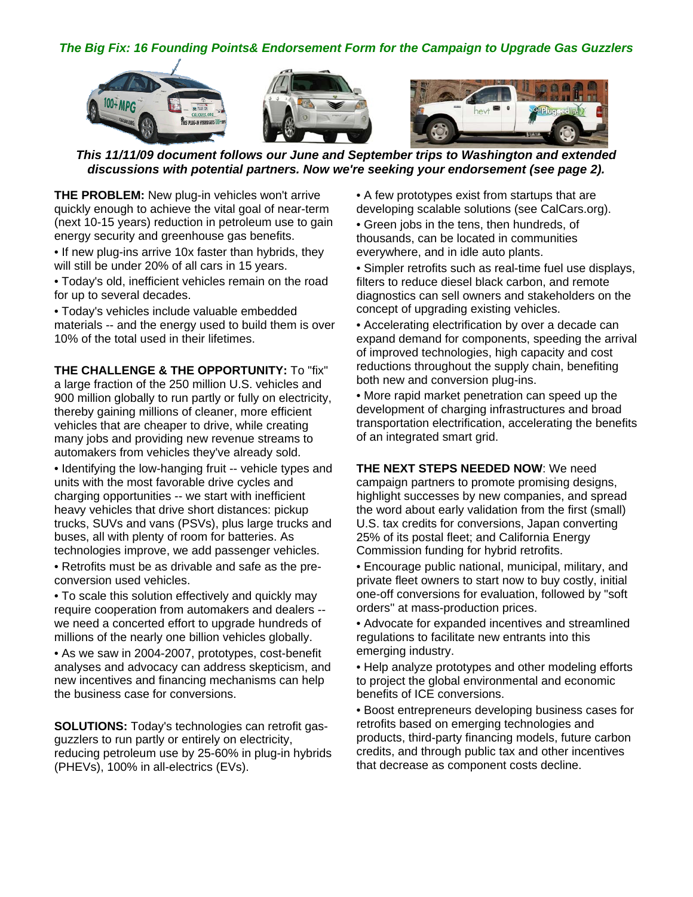## *The Big Fix: 16 Founding Points& Endorsement Form for the Campaign to Upgrade Gas Guzzlers*





 *This 11/11/09 document follows our June and September trips to Washington and extended discussions with potential partners. Now we're seeking your endorsement (see page 2).* 

**THE PROBLEM:** New plug-in vehicles won't arrive quickly enough to achieve the vital goal of near-term (next 10-15 years) reduction in petroleum use to gain energy security and greenhouse gas benefits.

• If new plug-ins arrive 10x faster than hybrids, they will still be under 20% of all cars in 15 years.

• Today's old, inefficient vehicles remain on the road for up to several decades.

• Today's vehicles include valuable embedded materials -- and the energy used to build them is over 10% of the total used in their lifetimes.

**THE CHALLENGE & THE OPPORTUNITY:** To "fix" a large fraction of the 250 million U.S. vehicles and 900 million globally to run partly or fully on electricity, thereby gaining millions of cleaner, more efficient vehicles that are cheaper to drive, while creating many jobs and providing new revenue streams to automakers from vehicles they've already sold.

• Identifying the low-hanging fruit -- vehicle types and units with the most favorable drive cycles and charging opportunities -- we start with inefficient heavy vehicles that drive short distances: pickup trucks, SUVs and vans (PSVs), plus large trucks and buses, all with plenty of room for batteries. As technologies improve, we add passenger vehicles.

• Retrofits must be as drivable and safe as the preconversion used vehicles.

• To scale this solution effectively and quickly may require cooperation from automakers and dealers - we need a concerted effort to upgrade hundreds of millions of the nearly one billion vehicles globally.

• As we saw in 2004-2007, prototypes, cost-benefit analyses and advocacy can address skepticism, and new incentives and financing mechanisms can help the business case for conversions.

**SOLUTIONS:** Today's technologies can retrofit gasguzzlers to run partly or entirely on electricity, reducing petroleum use by 25-60% in plug-in hybrids (PHEVs), 100% in all-electrics (EVs).

• A few prototypes exist from startups that are developing scalable solutions (see CalCars.org).

• Green jobs in the tens, then hundreds, of thousands, can be located in communities everywhere, and in idle auto plants.

• Simpler retrofits such as real-time fuel use displays, filters to reduce diesel black carbon, and remote diagnostics can sell owners and stakeholders on the concept of upgrading existing vehicles.

• Accelerating electrification by over a decade can expand demand for components, speeding the arrival of improved technologies, high capacity and cost reductions throughout the supply chain, benefiting both new and conversion plug-ins.

• More rapid market penetration can speed up the development of charging infrastructures and broad transportation electrification, accelerating the benefits of an integrated smart grid.

**THE NEXT STEPS NEEDED NOW**: We need campaign partners to promote promising designs, highlight successes by new companies, and spread the word about early validation from the first (small) U.S. tax credits for conversions, Japan converting 25% of its postal fleet; and California Energy Commission funding for hybrid retrofits.

• Encourage public national, municipal, military, and private fleet owners to start now to buy costly, initial one-off conversions for evaluation, followed by "soft orders'' at mass-production prices.

• Advocate for expanded incentives and streamlined regulations to facilitate new entrants into this emerging industry.

• Help analyze prototypes and other modeling efforts to project the global environmental and economic benefits of ICE conversions.

• Boost entrepreneurs developing business cases for retrofits based on emerging technologies and products, third-party financing models, future carbon credits, and through public tax and other incentives that decrease as component costs decline.